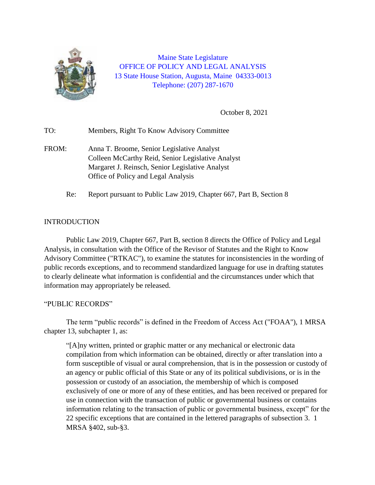

Maine State Legislature OFFICE OF POLICY AND LEGAL ANALYSIS 13 State House Station, Augusta, Maine 04333-0013 Telephone: (207) 287-1670

October 8, 2021

TO: Members, Right To Know Advisory Committee FROM: Anna T. Broome, Senior Legislative Analyst Colleen McCarthy Reid, Senior Legislative Analyst Margaret J. Reinsch, Senior Legislative Analyst Office of Policy and Legal Analysis Re: Report pursuant to Public Law 2019, Chapter 667, Part B, Section 8

#### INTRODUCTION

Public Law 2019, Chapter 667, Part B, section 8 directs the Office of Policy and Legal Analysis, in consultation with the Office of the Revisor of Statutes and the Right to Know Advisory Committee ("RTKAC"), to examine the statutes for inconsistencies in the wording of public records exceptions, and to recommend standardized language for use in drafting statutes to clearly delineate what information is confidential and the circumstances under which that information may appropriately be released.

#### "PUBLIC RECORDS"

The term "public records" is defined in the Freedom of Access Act ("FOAA"), 1 MRSA chapter 13, subchapter 1, as:

"[A]ny written, printed or graphic matter or any mechanical or electronic data compilation from which information can be obtained, directly or after translation into a form susceptible of visual or aural comprehension, that is in the possession or custody of an agency or public official of this State or any of its political subdivisions, or is in the possession or custody of an association, the membership of which is composed exclusively of one or more of any of these entities, and has been received or prepared for use in connection with the transaction of public or governmental business or contains information relating to the transaction of public or governmental business, except" for the 22 specific exceptions that are contained in the lettered paragraphs of subsection 3. 1 MRSA §402, sub-§3.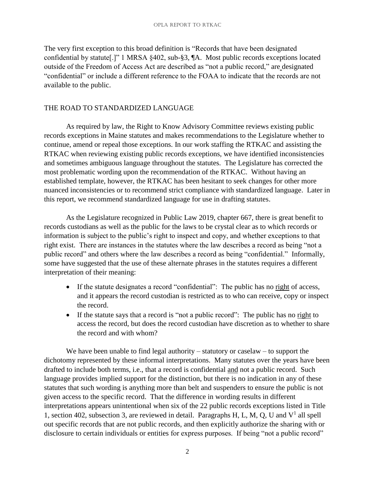The very first exception to this broad definition is "Records that have been designated confidential by statute[.]" 1 MRSA §402, sub-§3, ¶A. Most public records exceptions located outside of the Freedom of Access Act are described as "not a public record," are designated "confidential" or include a different reference to the FOAA to indicate that the records are not available to the public.

#### THE ROAD TO STANDARDIZED LANGUAGE

As required by law, the Right to Know Advisory Committee reviews existing public records exceptions in Maine statutes and makes recommendations to the Legislature whether to continue, amend or repeal those exceptions. In our work staffing the RTKAC and assisting the RTKAC when reviewing existing public records exceptions, we have identified inconsistencies and sometimes ambiguous language throughout the statutes. The Legislature has corrected the most problematic wording upon the recommendation of the RTKAC. Without having an established template, however, the RTKAC has been hesitant to seek changes for other more nuanced inconsistencies or to recommend strict compliance with standardized language. Later in this report, we recommend standardized language for use in drafting statutes.

As the Legislature recognized in Public Law 2019, chapter 667, there is great benefit to records custodians as well as the public for the laws to be crystal clear as to which records or information is subject to the public's right to inspect and copy, and whether exceptions to that right exist. There are instances in the statutes where the law describes a record as being "not a public record" and others where the law describes a record as being "confidential." Informally, some have suggested that the use of these alternate phrases in the statutes requires a different interpretation of their meaning:

- If the statute designates a record "confidential": The public has no right of access, and it appears the record custodian is restricted as to who can receive, copy or inspect the record.
- If the statute says that a record is "not a public record": The public has no right to access the record, but does the record custodian have discretion as to whether to share the record and with whom?

We have been unable to find legal authority – statutory or caselaw – to support the dichotomy represented by these informal interpretations. Many statutes over the years have been drafted to include both terms, i.e., that a record is confidential and not a public record. Such language provides implied support for the distinction, but there is no indication in any of these statutes that such wording is anything more than belt and suspenders to ensure the public is not given access to the specific record. That the difference in wording results in different interpretations appears unintentional when six of the 22 public records exceptions listed in Title 1, section 402, subsection 3, are reviewed in detail. Paragraphs H, L, M, Q, U and  $V^1$  all spell out specific records that are not public records, and then explicitly authorize the sharing with or disclosure to certain individuals or entities for express purposes. If being "not a public record"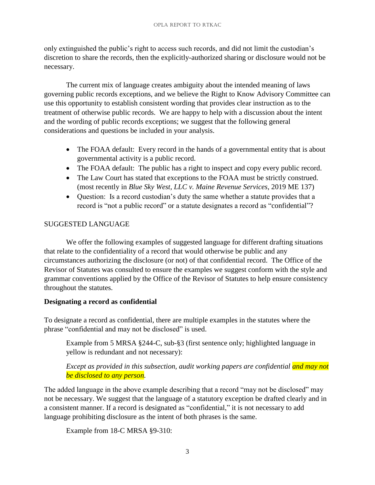#### OPLA Report to RTKAC

only extinguished the public's right to access such records, and did not limit the custodian's discretion to share the records, then the explicitly-authorized sharing or disclosure would not be necessary.

The current mix of language creates ambiguity about the intended meaning of laws governing public records exceptions, and we believe the Right to Know Advisory Committee can use this opportunity to establish consistent wording that provides clear instruction as to the treatment of otherwise public records. We are happy to help with a discussion about the intent and the wording of public records exceptions; we suggest that the following general considerations and questions be included in your analysis.

- The FOAA default: Every record in the hands of a governmental entity that is about governmental activity is a public record.
- The FOAA default: The public has a right to inspect and copy every public record.
- The Law Court has stated that exceptions to the FOAA must be strictly construed. (most recently in *Blue Sky West, LLC v. Maine Revenue Services*, 2019 ME 137)
- Question: Is a record custodian's duty the same whether a statute provides that a record is "not a public record" or a statute designates a record as "confidential"?

# SUGGESTED LANGUAGE

We offer the following examples of suggested language for different drafting situations that relate to the confidentiality of a record that would otherwise be public and any circumstances authorizing the disclosure (or not) of that confidential record. The Office of the Revisor of Statutes was consulted to ensure the examples we suggest conform with the style and grammar conventions applied by the Office of the Revisor of Statutes to help ensure consistency throughout the statutes.

# **Designating a record as confidential**

To designate a record as confidential, there are multiple examples in the statutes where the phrase "confidential and may not be disclosed" is used.

Example from 5 MRSA §244-C, sub-§3 (first sentence only; highlighted language in yellow is redundant and not necessary):

# *Except as provided in this subsection, audit working papers are confidential and may not be disclosed to any person.* auge<br>and i

The added language in the above example describing that a record "may not be disclosed" may not be necessary. We suggest that the language of a statutory exception be drafted clearly and in a consistent manner. If a record is designated as "confidential," it is not necessary to add language prohibiting disclosure as the intent of both phrases is the same.

Example from 18-C MRSA §9-310: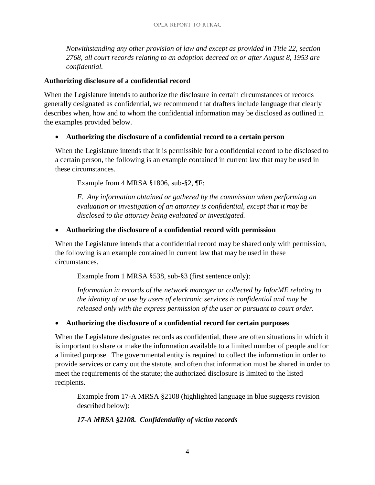*Notwithstanding any other provision of law and except as provided in Title 22, section 2768, all court records relating to an adoption decreed on or after August 8, 1953 are confidential.*

#### **Authorizing disclosure of a confidential record**

When the Legislature intends to authorize the disclosure in certain circumstances of records generally designated as confidential, we recommend that drafters include language that clearly describes when, how and to whom the confidential information may be disclosed as outlined in the examples provided below.

# • **Authorizing the disclosure of a confidential record to a certain person**

When the Legislature intends that it is permissible for a confidential record to be disclosed to a certain person, the following is an example contained in current law that may be used in these circumstances.

Example from 4 MRSA §1806, sub-§2, ¶F:

*F. Any information obtained or gathered by the commission when performing an evaluation or investigation of an attorney is confidential, except that it may be disclosed to the attorney being evaluated or investigated.*

# • **Authorizing the disclosure of a confidential record with permission**

When the Legislature intends that a confidential record may be shared only with permission, the following is an example contained in current law that may be used in these circumstances.

Example from 1 MRSA §538, sub-§3 (first sentence only):

*Information in records of the network manager or collected by InforME relating to the identity of or use by users of electronic services is confidential and may be released only with the express permission of the user or pursuant to court order.*

# • **Authorizing the disclosure of a confidential record for certain purposes**

When the Legislature designates records as confidential, there are often situations in which it is important to share or make the information available to a limited number of people and for a limited purpose. The governmental entity is required to collect the information in order to provide services or carry out the statute, and often that information must be shared in order to meet the requirements of the statute; the authorized disclosure is limited to the listed recipients.

Example from 17-A MRSA §2108 (highlighted language in blue suggests revision described below):

# *17-A MRSA §2108. Confidentiality of victim records*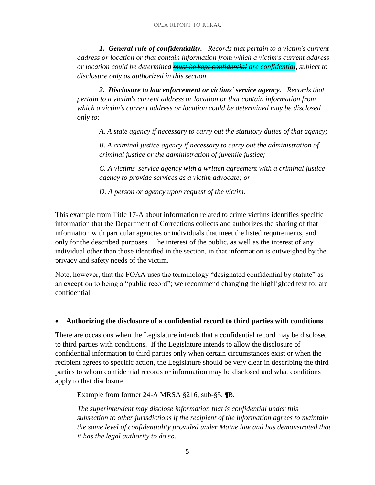*1. General rule of confidentiality. Records that pertain to a victim's current address or location or that contain information from which a victim's current address or location could be determined must be kept confidential are confidential, subject to disclosure only as authorized in this section.* 

*2. Disclosure to law enforcement or victims' service agency. Records that pertain to a victim's current address or location or that contain information from which a victim's current address or location could be determined may be disclosed only to:* 

*A. A state agency if necessary to carry out the statutory duties of that agency;* 

*B. A criminal justice agency if necessary to carry out the administration of criminal justice or the administration of juvenile justice;* 

*C. A victims' service agency with a written agreement with a criminal justice agency to provide services as a victim advocate; or* 

*D. A person or agency upon request of the victim.*

This example from Title 17-A about information related to crime victims identifies specific information that the Department of Corrections collects and authorizes the sharing of that information with particular agencies or individuals that meet the listed requirements, and only for the described purposes. The interest of the public, as well as the interest of any individual other than those identified in the section, in that information is outweighed by the privacy and safety needs of the victim.

Note, however, that the FOAA uses the terminology "designated confidential by statute" as an exception to being a "public record"; we recommend changing the highlighted text to: are confidential.

# • **Authorizing the disclosure of a confidential record to third parties with conditions**

There are occasions when the Legislature intends that a confidential record may be disclosed to third parties with conditions. If the Legislature intends to allow the disclosure of confidential information to third parties only when certain circumstances exist or when the recipient agrees to specific action, the Legislature should be very clear in describing the third parties to whom confidential records or information may be disclosed and what conditions apply to that disclosure.

Example from former 24-A MRSA §216, sub-§5, ¶B.

*The superintendent may disclose information that is confidential under this subsection to other jurisdictions if the recipient of the information agrees to maintain the same level of confidentiality provided under Maine law and has demonstrated that it has the legal authority to do so.*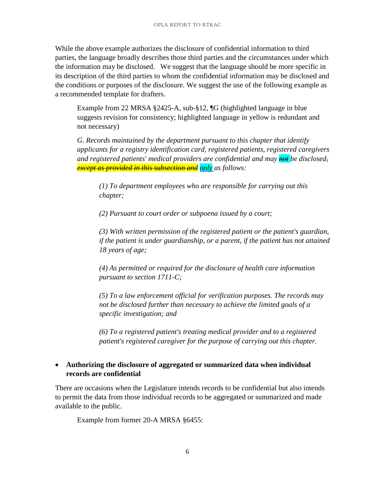While the above example authorizes the disclosure of confidential information to third parties, the language broadly describes those third parties and the circumstances under which the information may be disclosed. We suggest that the language should be more specific in its description of the third parties to whom the confidential information may be disclosed and the conditions or purposes of the disclosure. We suggest the use of the following example as a recommended template for drafters.

Example from 22 MRSA §2425-A, sub-§12, ¶G (highlighted language in blue suggests revision for consistency; highlighted language in yellow is redundant and not necessary)

*G. Records maintained by the department pursuant to this chapter that identify applicants for a registry identification card, registered patients, registered caregivers and registered patients' medical providers are confidential and may not be disclosed, except as provided in this subsection and only as follows:* 

*(1) To department employees who are responsible for carrying out this chapter;* 

*(2) Pursuant to court order or subpoena issued by a court;* 

*(3) With written permission of the registered patient or the patient's guardian, if the patient is under guardianship, or a parent, if the patient has not attained 18 years of age;* 

*(4) As permitted or required for the disclosure of health care information pursuant to section 1711-C;* 

*(5) To a law enforcement official for verification purposes. The records may not be disclosed further than necessary to achieve the limited goals of a specific investigation; and* 

*(6) To a registered patient's treating medical provider and to a registered patient's registered caregiver for the purpose of carrying out this chapter.*

# • **Authorizing the disclosure of aggregated or summarized data when individual records are confidential**

There are occasions when the Legislature intends records to be confidential but also intends to permit the data from those individual records to be aggregated or summarized and made available to the public.

Example from former 20-A MRSA §6455: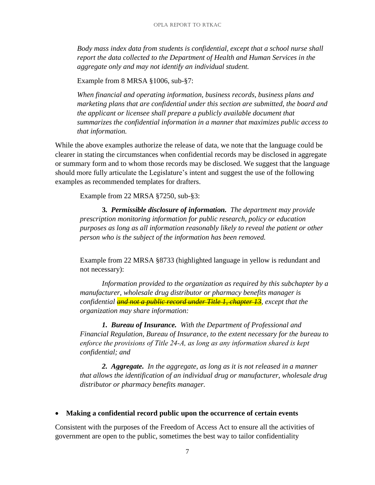*Body mass index data from students is confidential, except that a school nurse shall report the data collected to the Department of Health and Human Services in the aggregate only and may not identify an individual student.*

Example from 8 MRSA §1006, sub-§7:

*When financial and operating information, business records, business plans and marketing plans that are confidential under this section are submitted, the board and the applicant or licensee shall prepare a publicly available document that summarizes the confidential information in a manner that maximizes public access to that information.*

While the above examples authorize the release of data, we note that the language could be clearer in stating the circumstances when confidential records may be disclosed in aggregate or summary form and to whom those records may be disclosed. We suggest that the language should more fully articulate the Legislature's intent and suggest the use of the following examples as recommended templates for drafters.

Example from 22 MRSA §7250, sub-§3:

**3***. Permissible disclosure of information. The department may provide prescription monitoring information for public research, policy or education purposes as long as all information reasonably likely to reveal the patient or other person who is the subject of the information has been removed.*

Example from 22 MRSA §8733 (highlighted language in yellow is redundant and not necessary):

*Information provided to the organization as required by this subchapter by a manufacturer, wholesale drug distributor or pharmacy benefits manager is confidential and not a public record under Title 1, chapter 13, except that the organization may share information:* 

*1. Bureau of Insurance. With the Department of Professional and Financial Regulation, Bureau of Insurance, to the extent necessary for the bureau to enforce the provisions of Title 24‑A, as long as any information shared is kept confidential; and* 

*2. Aggregate. In the aggregate, as long as it is not released in a manner that allows the identification of an individual drug or manufacturer, wholesale drug distributor or pharmacy benefits manager.*

#### • **Making a confidential record public upon the occurrence of certain events**

Consistent with the purposes of the Freedom of Access Act to ensure all the activities of government are open to the public, sometimes the best way to tailor confidentiality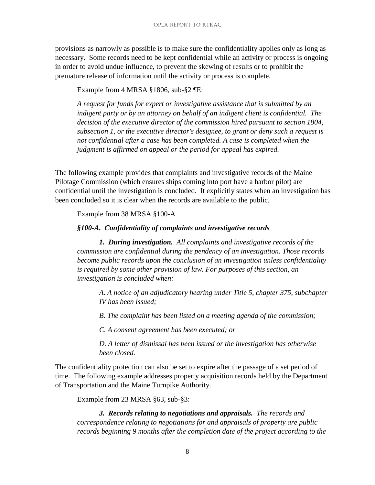provisions as narrowly as possible is to make sure the confidentiality applies only as long as necessary. Some records need to be kept confidential while an activity or process is ongoing in order to avoid undue influence, to prevent the skewing of results or to prohibit the premature release of information until the activity or process is complete.

Example from 4 MRSA §1806, sub-§2 ¶E:

*A request for funds for expert or investigative assistance that is submitted by an indigent party or by an attorney on behalf of an indigent client is confidential. The decision of the executive director of the commission hired pursuant to section 1804, subsection 1, or the executive director's designee, to grant or deny such a request is not confidential after a case has been completed. A case is completed when the judgment is affirmed on appeal or the period for appeal has expired.*

The following example provides that complaints and investigative records of the Maine Pilotage Commission (which ensures ships coming into port have a harbor pilot) are confidential until the investigation is concluded. It explicitly states when an investigation has been concluded so it is clear when the records are available to the public.

Example from 38 MRSA §100-A

#### *§100-A. Confidentiality of complaints and investigative records*

*1. During investigation. All complaints and investigative records of the commission are confidential during the pendency of an investigation. Those records become public records upon the conclusion of an investigation unless confidentiality is required by some other provision of law. For purposes of this section, an investigation is concluded when:* 

*A. A notice of an adjudicatory hearing under Title 5, chapter 375, subchapter IV has been issued;* 

*B. The complaint has been listed on a meeting agenda of the commission;* 

*C. A consent agreement has been executed; or* 

*D. A letter of dismissal has been issued or the investigation has otherwise been closed.* 

The confidentiality protection can also be set to expire after the passage of a set period of time. The following example addresses property acquisition records held by the Department of Transportation and the Maine Turnpike Authority.

Example from 23 MRSA §63, sub-§3:

*3. Records relating to negotiations and appraisals. The records and correspondence relating to negotiations for and appraisals of property are public records beginning 9 months after the completion date of the project according to the*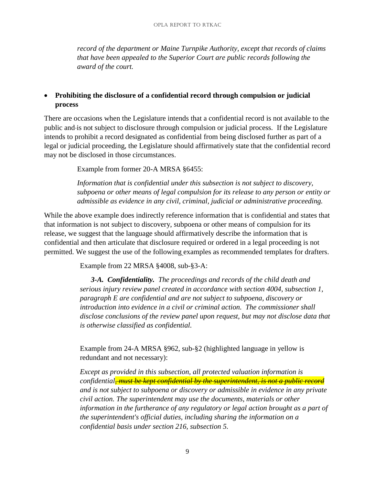*record of the department or Maine Turnpike Authority, except that records of claims that have been appealed to the Superior Court are public records following the award of the court.* 

# • **Prohibiting the disclosure of a confidential record through compulsion or judicial process**

There are occasions when the Legislature intends that a confidential record is not available to the public and is not subject to disclosure through compulsion or judicial process. If the Legislature intends to prohibit a record designated as confidential from being disclosed further as part of a legal or judicial proceeding, the Legislature should affirmatively state that the confidential record may not be disclosed in those circumstances.

Example from former 20-A MRSA §6455:

*Information that is confidential under this subsection is not subject to discovery, subpoena or other means of legal compulsion for its release to any person or entity or admissible as evidence in any civil, criminal, judicial or administrative proceeding.*

While the above example does indirectly reference information that is confidential and states that that information is not subject to discovery, subpoena or other means of compulsion for its release, we suggest that the language should affirmatively describe the information that is confidential and then articulate that disclosure required or ordered in a legal proceeding is not permitted. We suggest the use of the following examples as recommended templates for drafters.

Example from 22 MRSA §4008, sub-§3-A:

*3-A. Confidentiality. The proceedings and records of the child death and serious injury review panel created in accordance with section 4004, subsection 1, paragraph E are confidential and are not subject to subpoena, discovery or introduction into evidence in a civil or criminal action. The commissioner shall disclose conclusions of the review panel upon request, but may not disclose data that is otherwise classified as confidential.*

Example from 24-A MRSA §962, sub-§2 (highlighted language in yellow is redundant and not necessary):

*Except as provided in this subsection, all protected valuation information is confidential, must be kept confidential by the superintendent, is not a public record and is not subject to subpoena or discovery or admissible in evidence in any private civil action. The superintendent may use the documents, materials or other information in the furtherance of any regulatory or legal action brought as a part of the superintendent's official duties, including sharing the information on a confidential basis under section 216, subsection 5.*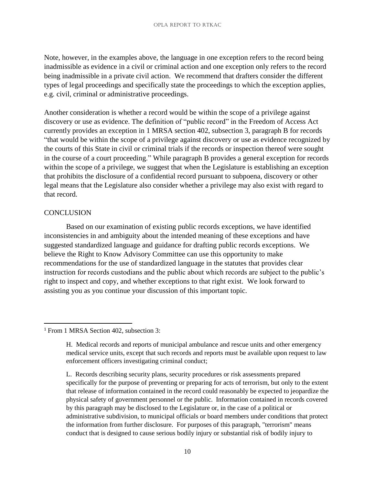Note, however, in the examples above, the language in one exception refers to the record being inadmissible as evidence in a civil or criminal action and one exception only refers to the record being inadmissible in a private civil action. We recommend that drafters consider the different types of legal proceedings and specifically state the proceedings to which the exception applies, e.g. civil, criminal or administrative proceedings.

Another consideration is whether a record would be within the scope of a privilege against discovery or use as evidence. The definition of "public record" in the Freedom of Access Act currently provides an exception in 1 MRSA section 402, subsection 3, paragraph B for records "that would be within the scope of a privilege against discovery or use as evidence recognized by the courts of this State in civil or criminal trials if the records or inspection thereof were sought in the course of a court proceeding." While paragraph B provides a general exception for records within the scope of a privilege, we suggest that when the Legislature is establishing an exception that prohibits the disclosure of a confidential record pursuant to subpoena, discovery or other legal means that the Legislature also consider whether a privilege may also exist with regard to that record.

#### **CONCLUSION**

 $\overline{\phantom{a}}$ 

Based on our examination of existing public records exceptions, we have identified inconsistencies in and ambiguity about the intended meaning of these exceptions and have suggested standardized language and guidance for drafting public records exceptions. We believe the Right to Know Advisory Committee can use this opportunity to make recommendations for the use of standardized language in the statutes that provides clear instruction for records custodians and the public about which records are subject to the public's right to inspect and copy, and whether exceptions to that right exist. We look forward to assisting you as you continue your discussion of this important topic.

<sup>1</sup> From 1 MRSA Section 402, subsection 3:

H. Medical records and reports of municipal ambulance and rescue units and other emergency medical service units, except that such records and reports must be available upon request to law enforcement officers investigating criminal conduct;

L. Records describing security plans, security procedures or risk assessments prepared specifically for the purpose of preventing or preparing for acts of terrorism, but only to the extent that release of information contained in the record could reasonably be expected to jeopardize the physical safety of government personnel or the public. Information contained in records covered by this paragraph may be disclosed to the Legislature or, in the case of a political or administrative subdivision, to municipal officials or board members under conditions that protect the information from further disclosure. For purposes of this paragraph, "terrorism" means conduct that is designed to cause serious bodily injury or substantial risk of bodily injury to